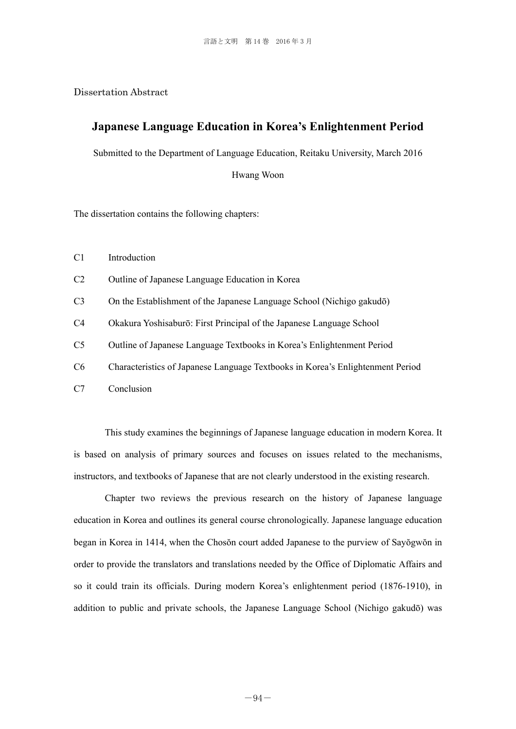Dissertation Abstract

## **Japanese Language Education in Korea's Enlightenment Period**

Submitted to the Department of Language Education, Reitaku University, March 2016

Hwang Woon

The dissertation contains the following chapters:

C1 Introduction

C2 Outline of Japanese Language Education in Korea

C3 On the Establishment of the Japanese Language School (Nichigo gakudō)

C4 Okakura Yoshisaburō: First Principal of the Japanese Language School

C5 Outline of Japanese Language Textbooks in Korea's Enlightenment Period

C6 Characteristics of Japanese Language Textbooks in Korea's Enlightenment Period

C7 Conclusion

This study examines the beginnings of Japanese language education in modern Korea. It is based on analysis of primary sources and focuses on issues related to the mechanisms, instructors, and textbooks of Japanese that are not clearly understood in the existing research.

Chapter two reviews the previous research on the history of Japanese language education in Korea and outlines its general course chronologically. Japanese language education began in Korea in 1414, when the Chosŏn court added Japanese to the purview of Sayŏgwŏn in order to provide the translators and translations needed by the Office of Diplomatic Affairs and so it could train its officials. During modern Korea's enlightenment period (1876-1910), in addition to public and private schools, the Japanese Language School (Nichigo gakudō) was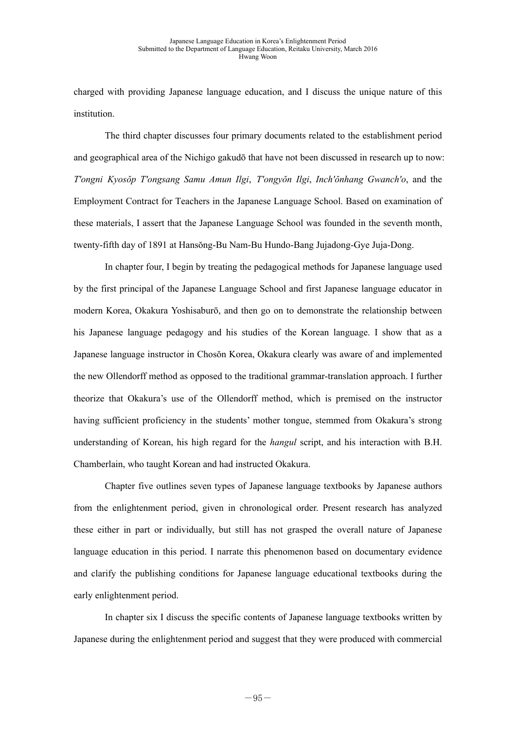charged with providing Japanese language education, and I discuss the unique nature of this institution.

The third chapter discusses four primary documents related to the establishment period and geographical area of the Nichigo gakudō that have not been discussed in research up to now: *T'ongni Kyosŏp T'ongsang Samu Amun Ilgi*, *T'ongyŏn Ilgi*, *Inch'ŏnhang Gwanch'o*, and the Employment Contract for Teachers in the Japanese Language School. Based on examination of these materials, I assert that the Japanese Language School was founded in the seventh month, twenty-fifth day of 1891 at Hansŏng-Bu Nam-Bu Hundo-Bang Jujadong-Gye Juja-Dong.

In chapter four, I begin by treating the pedagogical methods for Japanese language used by the first principal of the Japanese Language School and first Japanese language educator in modern Korea, Okakura Yoshisaburō, and then go on to demonstrate the relationship between his Japanese language pedagogy and his studies of the Korean language. I show that as a Japanese language instructor in Chosŏn Korea, Okakura clearly was aware of and implemented the new Ollendorff method as opposed to the traditional grammar-translation approach. I further theorize that Okakura's use of the Ollendorff method, which is premised on the instructor having sufficient proficiency in the students' mother tongue, stemmed from Okakura's strong understanding of Korean, his high regard for the *hangul* script, and his interaction with B.H. Chamberlain, who taught Korean and had instructed Okakura.

Chapter five outlines seven types of Japanese language textbooks by Japanese authors from the enlightenment period, given in chronological order. Present research has analyzed these either in part or individually, but still has not grasped the overall nature of Japanese language education in this period. I narrate this phenomenon based on documentary evidence and clarify the publishing conditions for Japanese language educational textbooks during the early enlightenment period.

In chapter six I discuss the specific contents of Japanese language textbooks written by Japanese during the enlightenment period and suggest that they were produced with commercial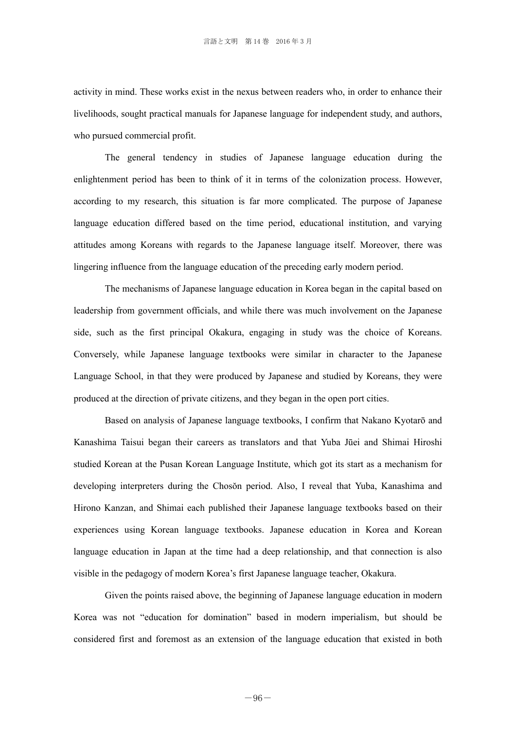activity in mind. These works exist in the nexus between readers who, in order to enhance their livelihoods, sought practical manuals for Japanese language for independent study, and authors, who pursued commercial profit.

The general tendency in studies of Japanese language education during the enlightenment period has been to think of it in terms of the colonization process. However, according to my research, this situation is far more complicated. The purpose of Japanese language education differed based on the time period, educational institution, and varying attitudes among Koreans with regards to the Japanese language itself. Moreover, there was lingering influence from the language education of the preceding early modern period.

The mechanisms of Japanese language education in Korea began in the capital based on leadership from government officials, and while there was much involvement on the Japanese side, such as the first principal Okakura, engaging in study was the choice of Koreans. Conversely, while Japanese language textbooks were similar in character to the Japanese Language School, in that they were produced by Japanese and studied by Koreans, they were produced at the direction of private citizens, and they began in the open port cities.

Based on analysis of Japanese language textbooks, I confirm that Nakano Kyotarō and Kanashima Taisui began their careers as translators and that Yuba Jūei and Shimai Hiroshi studied Korean at the Pusan Korean Language Institute, which got its start as a mechanism for developing interpreters during the Chosŏn period. Also, I reveal that Yuba, Kanashima and Hirono Kanzan, and Shimai each published their Japanese language textbooks based on their experiences using Korean language textbooks. Japanese education in Korea and Korean language education in Japan at the time had a deep relationship, and that connection is also visible in the pedagogy of modern Korea's first Japanese language teacher, Okakura.

Given the points raised above, the beginning of Japanese language education in modern Korea was not "education for domination" based in modern imperialism, but should be considered first and foremost as an extension of the language education that existed in both